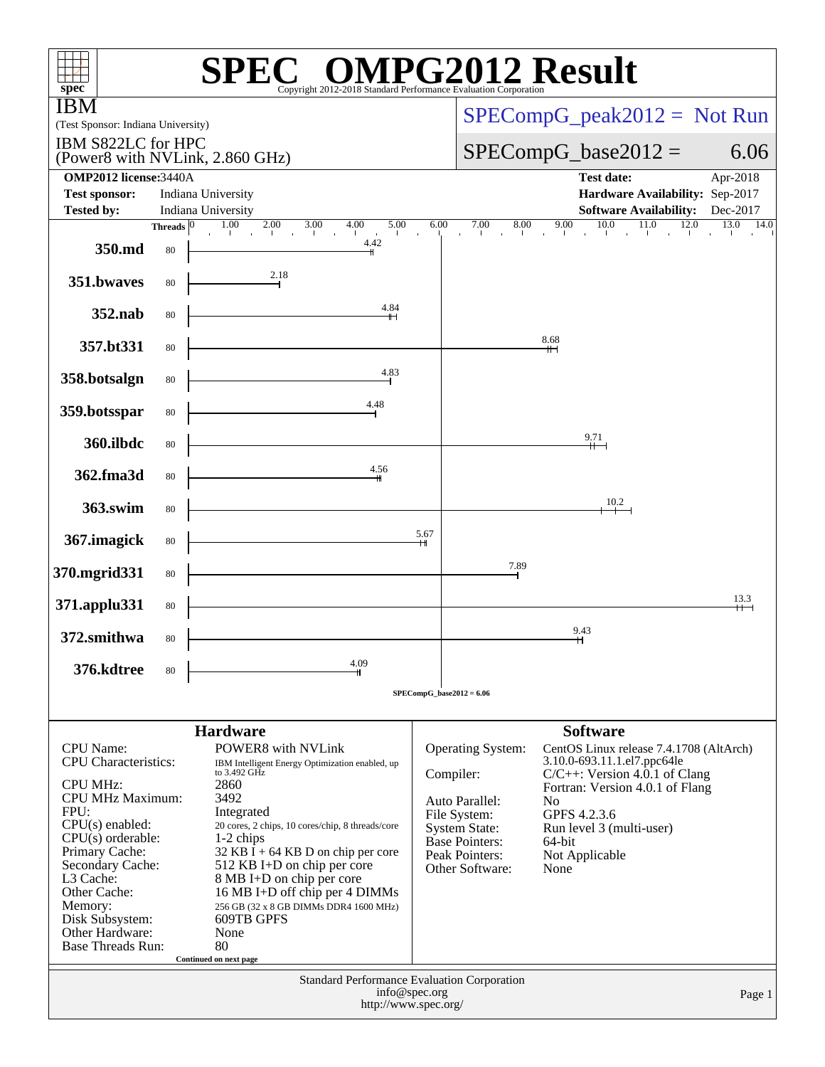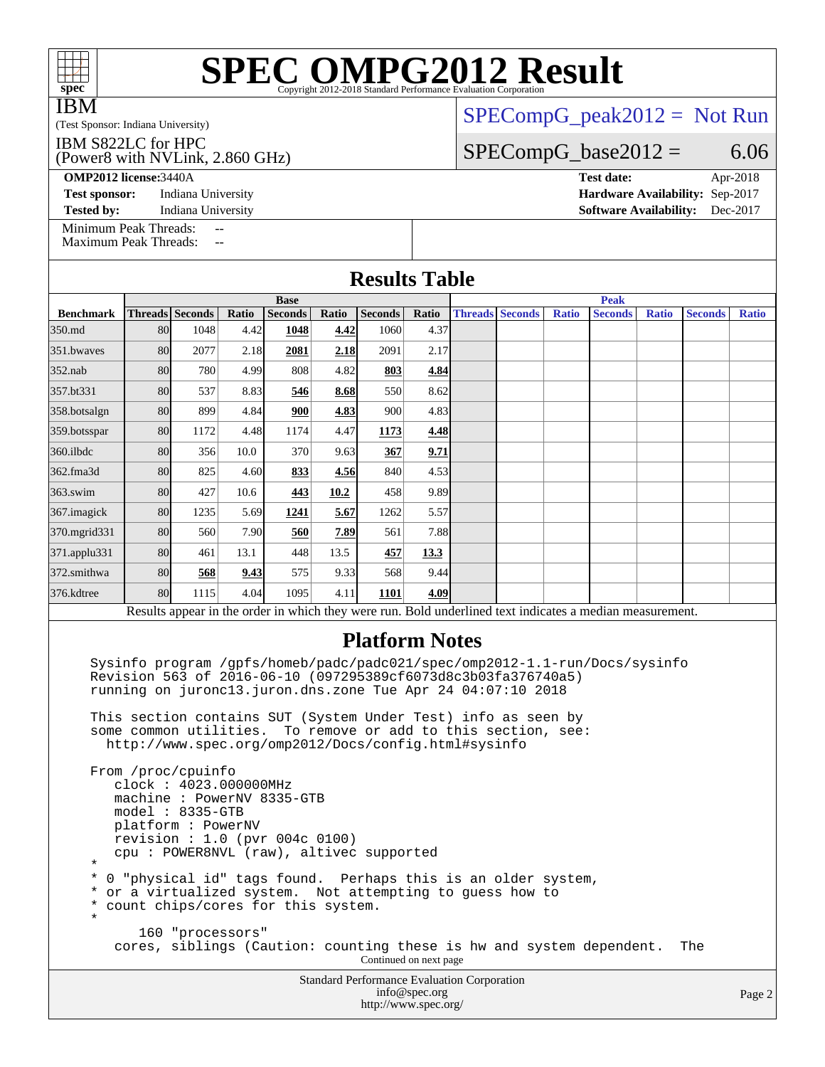| spec <sup>®</sup>                                                                                                                                                                                                                                                                                    |                                                                                                                                                                       |                                    |              |      |      | <b>SPEC OMPG2012 Result</b><br>Convright 2012-2018 Standard Performance Evaluation Corporation                            |               |                                                                                                                           |  |  |                                                                                                          |  |     |          |  |
|------------------------------------------------------------------------------------------------------------------------------------------------------------------------------------------------------------------------------------------------------------------------------------------------------|-----------------------------------------------------------------------------------------------------------------------------------------------------------------------|------------------------------------|--------------|------|------|---------------------------------------------------------------------------------------------------------------------------|---------------|---------------------------------------------------------------------------------------------------------------------------|--|--|----------------------------------------------------------------------------------------------------------|--|-----|----------|--|
| IBM<br>(Test Sponsor: Indiana University)                                                                                                                                                                                                                                                            |                                                                                                                                                                       |                                    |              |      |      |                                                                                                                           |               | $SPECompG_peak2012 = Not Run$                                                                                             |  |  |                                                                                                          |  |     |          |  |
| IBM S822LC for HPC<br>(Power8 with NVLink, 2.860 GHz)                                                                                                                                                                                                                                                |                                                                                                                                                                       |                                    |              |      |      |                                                                                                                           |               | $SPECompG_base2012 =$                                                                                                     |  |  |                                                                                                          |  |     | 6.06     |  |
| <b>OMP2012 license:3440A</b><br><b>Test date:</b>                                                                                                                                                                                                                                                    |                                                                                                                                                                       |                                    |              |      |      |                                                                                                                           |               |                                                                                                                           |  |  |                                                                                                          |  |     | Apr-2018 |  |
|                                                                                                                                                                                                                                                                                                      | Hardware Availability: Sep-2017<br><b>Test sponsor:</b><br>Indiana University<br>Indiana University<br><b>Software Availability:</b><br><b>Tested by:</b><br>Dec-2017 |                                    |              |      |      |                                                                                                                           |               |                                                                                                                           |  |  |                                                                                                          |  |     |          |  |
| Minimum Peak Threads:<br><b>Maximum Peak Threads:</b>                                                                                                                                                                                                                                                |                                                                                                                                                                       |                                    | --<br>$\sim$ |      |      |                                                                                                                           |               |                                                                                                                           |  |  |                                                                                                          |  |     |          |  |
| <b>Results Table</b>                                                                                                                                                                                                                                                                                 |                                                                                                                                                                       |                                    |              |      |      |                                                                                                                           |               |                                                                                                                           |  |  |                                                                                                          |  |     |          |  |
| <b>Benchmark</b>                                                                                                                                                                                                                                                                                     | <b>Base</b><br><b>Threads</b> Seconds<br>Ratio<br><b>Seconds</b><br><b>Seconds</b><br>Ratio                                                                           |                                    |              |      |      |                                                                                                                           |               | <b>Peak</b><br><b>Threads Seconds</b><br><b>Seconds</b><br><b>Ratio</b><br><b>Ratio</b><br><b>Seconds</b><br><b>Ratio</b> |  |  |                                                                                                          |  |     |          |  |
| 350.md                                                                                                                                                                                                                                                                                               | 80                                                                                                                                                                    | 1048                               | 4.42         | 1048 | 4.42 | 1060                                                                                                                      | Ratio<br>4.37 |                                                                                                                           |  |  |                                                                                                          |  |     |          |  |
| 351.bwaves                                                                                                                                                                                                                                                                                           | 80                                                                                                                                                                    | 2077                               | 2.18         | 2081 | 2.18 | 2091                                                                                                                      | 2.17          |                                                                                                                           |  |  |                                                                                                          |  |     |          |  |
| 352.nab                                                                                                                                                                                                                                                                                              | 80                                                                                                                                                                    | 780                                | 4.99         | 808  | 4.82 | 803                                                                                                                       | 4.84          |                                                                                                                           |  |  |                                                                                                          |  |     |          |  |
| 357.bt331                                                                                                                                                                                                                                                                                            | 80                                                                                                                                                                    | 537                                | 8.83         | 546  | 8.68 | 550                                                                                                                       | 8.62          |                                                                                                                           |  |  |                                                                                                          |  |     |          |  |
| 358.botsalgn                                                                                                                                                                                                                                                                                         | 80                                                                                                                                                                    | 899                                | 4.84         | 900  | 4.83 | 900                                                                                                                       | 4.83          |                                                                                                                           |  |  |                                                                                                          |  |     |          |  |
| 359.botsspar                                                                                                                                                                                                                                                                                         | 80                                                                                                                                                                    | 1172                               | 4.48         | 1174 | 4.47 | 1173                                                                                                                      | 4.48          |                                                                                                                           |  |  |                                                                                                          |  |     |          |  |
| 360.ilbdc                                                                                                                                                                                                                                                                                            | 80                                                                                                                                                                    | 356                                | 10.0         | 370  | 9.63 | 367                                                                                                                       | 9.71          |                                                                                                                           |  |  |                                                                                                          |  |     |          |  |
| 362.fma3d                                                                                                                                                                                                                                                                                            | 80                                                                                                                                                                    | 825                                | 4.60         | 833  | 4.56 | 840                                                                                                                       | 4.53          |                                                                                                                           |  |  |                                                                                                          |  |     |          |  |
| 363.swim                                                                                                                                                                                                                                                                                             | 80                                                                                                                                                                    | 427                                | 10.6         | 443  | 10.2 | 458                                                                                                                       | 9.89          |                                                                                                                           |  |  |                                                                                                          |  |     |          |  |
| 367.imagick                                                                                                                                                                                                                                                                                          | 80                                                                                                                                                                    | 1235                               | 5.69         | 1241 | 5.67 | 1262                                                                                                                      | 5.57          |                                                                                                                           |  |  |                                                                                                          |  |     |          |  |
| 370.mgrid331                                                                                                                                                                                                                                                                                         | 80                                                                                                                                                                    | 560                                | 7.90         | 560  | 7.89 | 561                                                                                                                       | 7.88          |                                                                                                                           |  |  |                                                                                                          |  |     |          |  |
| 371.applu331                                                                                                                                                                                                                                                                                         | 80                                                                                                                                                                    | 461                                | 13.1         | 448  | 13.5 | 457                                                                                                                       | 13.3          |                                                                                                                           |  |  |                                                                                                          |  |     |          |  |
| 372.smithwa                                                                                                                                                                                                                                                                                          | 80                                                                                                                                                                    | 568                                | 9.43         | 575  | 9.33 | 568                                                                                                                       | 9.44          |                                                                                                                           |  |  |                                                                                                          |  |     |          |  |
| 376.kdtree                                                                                                                                                                                                                                                                                           | 80                                                                                                                                                                    | 1115                               | 4.04         | 1095 | 4.11 | 1101                                                                                                                      | 4.09          |                                                                                                                           |  |  |                                                                                                          |  |     |          |  |
|                                                                                                                                                                                                                                                                                                      |                                                                                                                                                                       |                                    |              |      |      |                                                                                                                           |               |                                                                                                                           |  |  | Results appear in the order in which they were run. Bold underlined text indicates a median measurement. |  |     |          |  |
| <b>Platform Notes</b><br>Sysinfo program /gpfs/homeb/padc/padc021/spec/omp2012-1.1-run/Docs/sysinfo<br>Revision 563 of 2016-06-10 (097295389cf6073d8c3b03fa376740a5)<br>running on juronc13.juron.dns.zone Tue Apr 24 04:07:10 2018<br>This section contains SUT (System Under Test) info as seen by |                                                                                                                                                                       |                                    |              |      |      |                                                                                                                           |               |                                                                                                                           |  |  |                                                                                                          |  |     |          |  |
| some common utilities. To remove or add to this section, see:<br>http://www.spec.org/omp2012/Docs/config.html#sysinfo                                                                                                                                                                                |                                                                                                                                                                       |                                    |              |      |      |                                                                                                                           |               |                                                                                                                           |  |  |                                                                                                          |  |     |          |  |
| From /proc/cpuinfo<br>clock: 4023.000000MHz<br>machine: PowerNV 8335-GTB<br>$model: 8335-GTB$<br>platform: PowerNV<br>revision : 1.0 (pvr 004c 0100)<br>cpu: POWER8NVL (raw), altivec supported<br>$^\star$                                                                                          |                                                                                                                                                                       |                                    |              |      |      |                                                                                                                           |               |                                                                                                                           |  |  |                                                                                                          |  |     |          |  |
| $^\star$<br>*<br>¥                                                                                                                                                                                                                                                                                   |                                                                                                                                                                       | count chips/cores for this system. |              |      |      | 0 "physical id" tags found. Perhaps this is an older system,<br>* or a virtualized system. Not attempting to guess how to |               |                                                                                                                           |  |  |                                                                                                          |  |     |          |  |
|                                                                                                                                                                                                                                                                                                      |                                                                                                                                                                       | 160 "processors"                   |              |      |      | Continued on next page                                                                                                    |               |                                                                                                                           |  |  | cores, siblings (Caution: counting these is hw and system dependent.                                     |  | The |          |  |
|                                                                                                                                                                                                                                                                                                      |                                                                                                                                                                       |                                    |              |      |      | Standard Performance Evaluation Corporation                                                                               | info@spec.org |                                                                                                                           |  |  |                                                                                                          |  |     | Page 2   |  |

<http://www.spec.org/>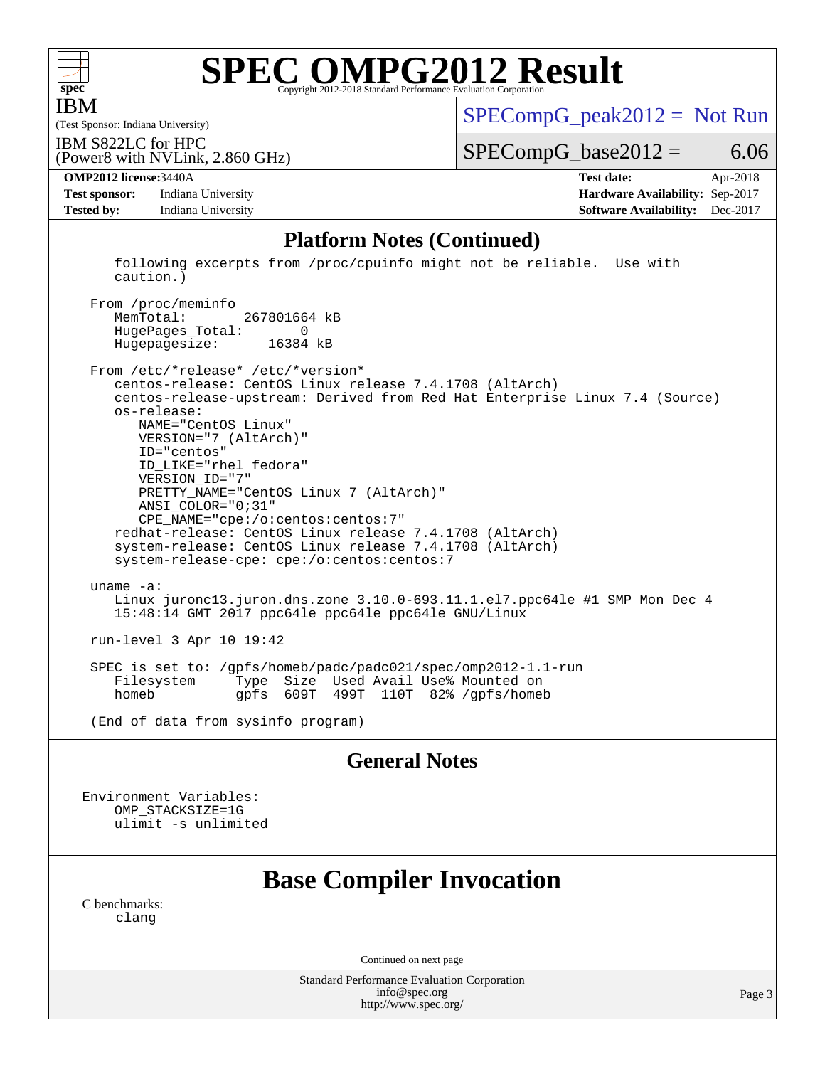

IBM

# **[SPEC OMPG2012 Result](http://www.spec.org/auto/omp2012/Docs/result-fields.html#SPECOMPG2012Result)**

(Test Sponsor: Indiana University)

 $SPECompG_peak2012 = Not Run$  $SPECompG_peak2012 = Not Run$ 

IBM S822LC for HPC

 $SPECompG_base2012 = 6.06$  $SPECompG_base2012 = 6.06$ 

**[Test sponsor:](http://www.spec.org/auto/omp2012/Docs/result-fields.html#Testsponsor)** Indiana University **[Hardware Availability:](http://www.spec.org/auto/omp2012/Docs/result-fields.html#HardwareAvailability)** Sep-2017 **[Tested by:](http://www.spec.org/auto/omp2012/Docs/result-fields.html#Testedby)** Indiana University **[Software Availability:](http://www.spec.org/auto/omp2012/Docs/result-fields.html#SoftwareAvailability)** Dec-2017

(Power8 with NVLink, 2.860 GHz)

**[OMP2012 license:](http://www.spec.org/auto/omp2012/Docs/result-fields.html#OMP2012license)**3440A **[Test date:](http://www.spec.org/auto/omp2012/Docs/result-fields.html#Testdate)** Apr-2018

#### **[Platform Notes \(Continued\)](http://www.spec.org/auto/omp2012/Docs/result-fields.html#PlatformNotes)**

 following excerpts from /proc/cpuinfo might not be reliable. Use with caution.)

From /proc/meminfo<br>MemTotal: 267801664 kB HugePages\_Total: 0 Hugepagesize: 16384 kB

 From /etc/\*release\* /etc/\*version\* centos-release: CentOS Linux release 7.4.1708 (AltArch) centos-release-upstream: Derived from Red Hat Enterprise Linux 7.4 (Source) os-release: NAME="CentOS Linux" VERSION="7 (AltArch)" ID="centos" ID\_LIKE="rhel fedora" VERSION\_ID="7" PRETTY\_NAME="CentOS Linux 7 (AltArch)" ANSI\_COLOR="0;31" CPE\_NAME="cpe:/o:centos:centos:7" redhat-release: CentOS Linux release 7.4.1708 (AltArch) system-release: CentOS Linux release 7.4.1708 (AltArch) system-release-cpe: cpe:/o:centos:centos:7 uname -a: Linux juronc13.juron.dns.zone 3.10.0-693.11.1.el7.ppc64le #1 SMP Mon Dec 4 15:48:14 GMT 2017 ppc64le ppc64le ppc64le GNU/Linux run-level 3 Apr 10 19:42 SPEC is set to: /gpfs/homeb/padc/padc021/spec/omp2012-1.1-run

Type Size Used Avail Use% Mounted on homeb gpfs 609T 499T 110T 82% /gpfs/homeb

(End of data from sysinfo program)

#### **[General Notes](http://www.spec.org/auto/omp2012/Docs/result-fields.html#GeneralNotes)**

Environment Variables: OMP\_STACKSIZE=1G ulimit -s unlimited

## **[Base Compiler Invocation](http://www.spec.org/auto/omp2012/Docs/result-fields.html#BaseCompilerInvocation)**

[C benchmarks](http://www.spec.org/auto/omp2012/Docs/result-fields.html#Cbenchmarks): [clang](http://www.spec.org/omp2012/results/res2018q2/omp2012-20180605-00144.flags.html#user_CCbase_clang_2c5517db7bc397f9b14ae357a7ce54ff)

Continued on next page

Standard Performance Evaluation Corporation [info@spec.org](mailto:info@spec.org) <http://www.spec.org/>

Page 3